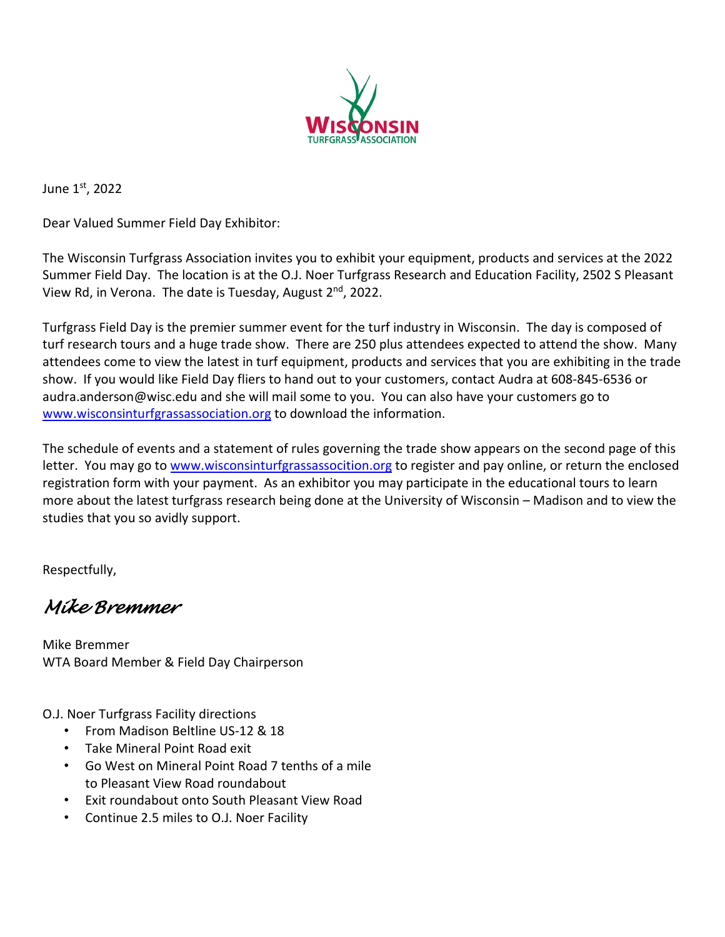

June 1st, 2022

Dear Valued Summer Field Day Exhibitor:

The Wisconsin Turfgrass Association invites you to exhibit your equipment, products and services at the 2022 Summer Field Day. The location is at the O.J. Noer Turfgrass Research and Education Facility, 2502 S Pleasant View Rd, in Verona. The date is Tuesday, August 2<sup>nd</sup>, 2022.

Turfgrass Field Day is the premier summer event for the turf industry in Wisconsin. The day is composed of turf research tours and a huge trade show. There are 250 plus attendees expected to attend the show. Many attendees come to view the latest in turf equipment, products and services that you are exhibiting in the trade show. If you would like Field Day fliers to hand out to your customers, contact Audra at 608-845-6536 or audra.anderson@wisc.edu and she will mail some to you. You can also have your customers go to [www.wisconsinturfgrassassociation.org](http://www.wisconsinturfgrassassociation.org/) to download the information.

The schedule of events and a statement of rules governing the trade show appears on the second page of this letter. You may go to [www.wisconsinturfgrassassocition.org](http://www.wisconsinturfgrassassocition.org/) to register and pay online, or return the enclosed registration form with your payment. As an exhibitor you may participate in the educational tours to learn more about the latest turfgrass research being done at the University of Wisconsin – Madison and to view the studies that you so avidly support.

Respectfully,

*Mike Bremmer* 

Mike Bremmer WTA Board Member & Field Day Chairperson

O.J. Noer Turfgrass Facility directions

- From Madison Beltline US-12 & 18
- Take Mineral Point Road exit
- Go West on Mineral Point Road 7 tenths of a mile to Pleasant View Road roundabout
- Exit roundabout onto South Pleasant View Road
- Continue 2.5 miles to O.J. Noer Facility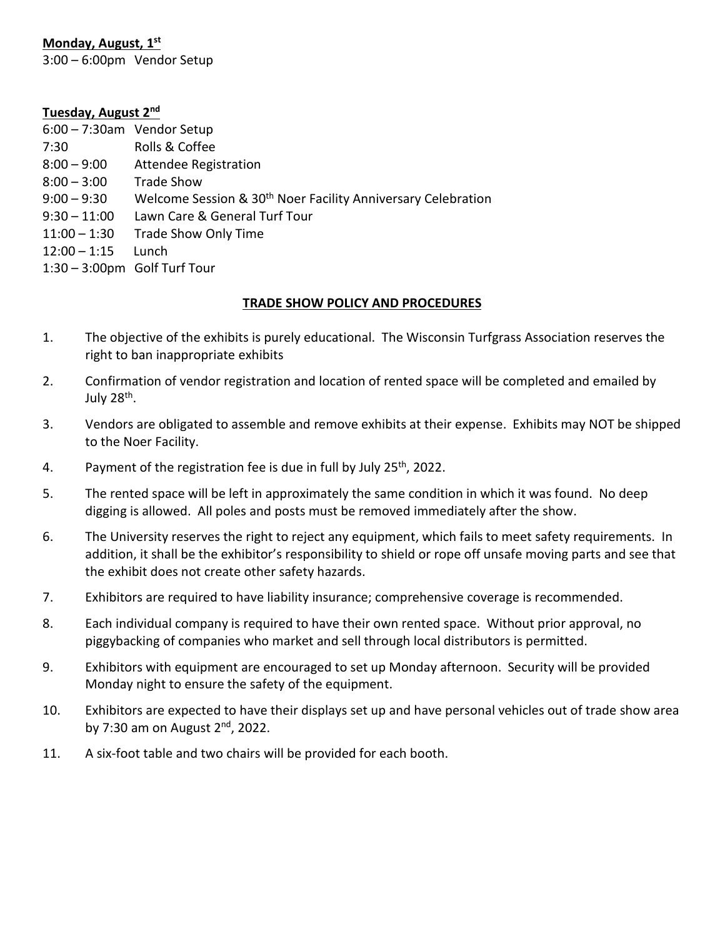### **Monday, August, 1st**

3:00 – 6:00pm Vendor Setup

#### **Tuesday, August 2nd**

| $6:00 - 7:30$ am Vendor Setup |                                                                          |
|-------------------------------|--------------------------------------------------------------------------|
| 7:30                          | Rolls & Coffee                                                           |
| $8:00 - 9:00$                 | Attendee Registration                                                    |
| $8:00 - 3:00$                 | <b>Trade Show</b>                                                        |
| $9:00 - 9:30$                 | Welcome Session & 30 <sup>th</sup> Noer Facility Anniversary Celebration |
| $9:30 - 11:00$                | Lawn Care & General Turf Tour                                            |
| $11:00 - 1:30$                | Trade Show Only Time                                                     |
| $12:00 - 1:15$                | Lunch                                                                    |
| 1:30 - 3:00pm Golf Turf Tour  |                                                                          |

#### **TRADE SHOW POLICY AND PROCEDURES**

- 1. The objective of the exhibits is purely educational. The Wisconsin Turfgrass Association reserves the right to ban inappropriate exhibits
- 2. Confirmation of vendor registration and location of rented space will be completed and emailed by July  $28<sup>th</sup>$ .
- 3. Vendors are obligated to assemble and remove exhibits at their expense. Exhibits may NOT be shipped to the Noer Facility.
- 4. Payment of the registration fee is due in full by July  $25<sup>th</sup>$ , 2022.
- 5. The rented space will be left in approximately the same condition in which it was found. No deep digging is allowed. All poles and posts must be removed immediately after the show.
- 6. The University reserves the right to reject any equipment, which fails to meet safety requirements. In addition, it shall be the exhibitor's responsibility to shield or rope off unsafe moving parts and see that the exhibit does not create other safety hazards.
- 7. Exhibitors are required to have liability insurance; comprehensive coverage is recommended.
- 8. Each individual company is required to have their own rented space. Without prior approval, no piggybacking of companies who market and sell through local distributors is permitted.
- 9. Exhibitors with equipment are encouraged to set up Monday afternoon. Security will be provided Monday night to ensure the safety of the equipment.
- 10. Exhibitors are expected to have their displays set up and have personal vehicles out of trade show area by 7:30 am on August  $2<sup>nd</sup>$ , 2022.
- 11. A six-foot table and two chairs will be provided for each booth.